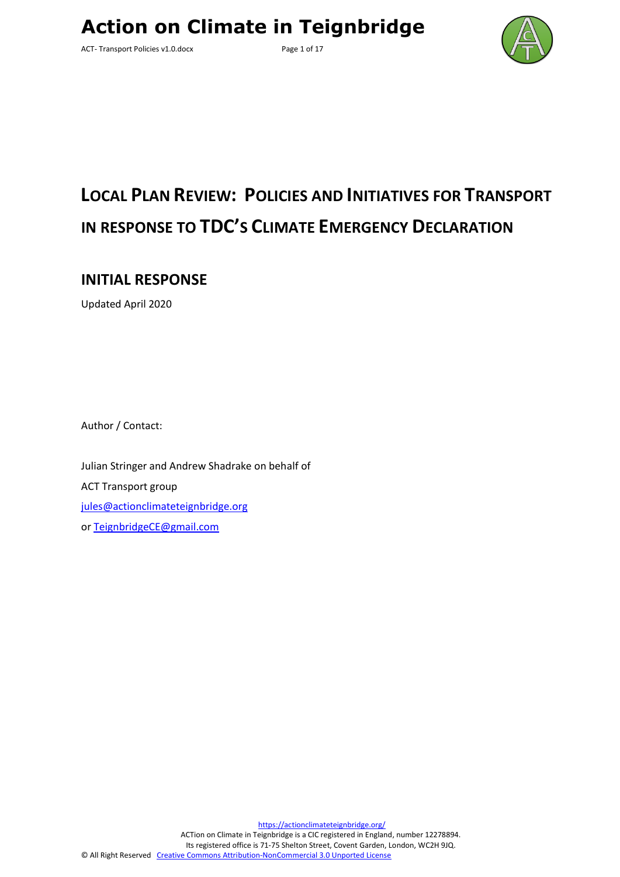ACT- Transport Policies v1.0.docx Page 1 of 17



# **LOCAL PLAN REVIEW: POLICIES AND INITIATIVES FOR TRANSPORT IN RESPONSE TO TDC'S CLIMATE EMERGENCY DECLARATION**

**INITIAL RESPONSE**

Updated April 2020

Author / Contact:

Julian Stringer and Andrew Shadrake on behalf of ACT Transport group [jules@actionclimateteignbridge.org](mailto:jules@actionclimateteignbridge.org) or [TeignbridgeCE@gmail.com](mailto:TeignbridgeCE@gmail.com)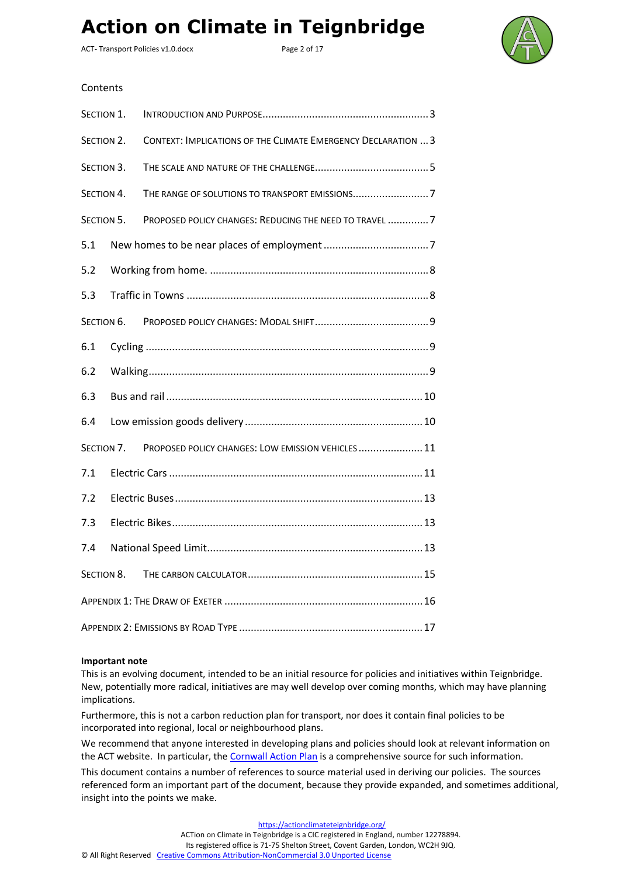ACT- Transport Policies v1.0.docx Page 2 of 17



#### **Contents**

| SECTION 1. |            |                                                               |  |  |  |  |  |  |  |
|------------|------------|---------------------------------------------------------------|--|--|--|--|--|--|--|
| SECTION 2. |            | CONTEXT: IMPLICATIONS OF THE CLIMATE EMERGENCY DECLARATION  3 |  |  |  |  |  |  |  |
| SECTION 3. |            |                                                               |  |  |  |  |  |  |  |
| SECTION 4. |            |                                                               |  |  |  |  |  |  |  |
| SECTION 5. |            | PROPOSED POLICY CHANGES: REDUCING THE NEED TO TRAVEL 7        |  |  |  |  |  |  |  |
| 5.1        |            |                                                               |  |  |  |  |  |  |  |
| 5.2        |            |                                                               |  |  |  |  |  |  |  |
| 5.3        |            |                                                               |  |  |  |  |  |  |  |
|            | SECTION 6. |                                                               |  |  |  |  |  |  |  |
| 6.1        |            |                                                               |  |  |  |  |  |  |  |
| 6.2        |            |                                                               |  |  |  |  |  |  |  |
| 6.3        |            |                                                               |  |  |  |  |  |  |  |
| 6.4        |            |                                                               |  |  |  |  |  |  |  |
|            | SECTION 7. | PROPOSED POLICY CHANGES: LOW EMISSION VEHICLES  11            |  |  |  |  |  |  |  |
| 7.1        |            |                                                               |  |  |  |  |  |  |  |
| 7.2        |            |                                                               |  |  |  |  |  |  |  |
| 7.3        |            |                                                               |  |  |  |  |  |  |  |
| 7.4        |            |                                                               |  |  |  |  |  |  |  |
| SECTION 8. |            |                                                               |  |  |  |  |  |  |  |
|            |            |                                                               |  |  |  |  |  |  |  |
|            |            |                                                               |  |  |  |  |  |  |  |

#### **Important note**

This is an evolving document, intended to be an initial resource for policies and initiatives within Teignbridge. New, potentially more radical, initiatives are may well develop over coming months, which may have planning implications.

Furthermore, this is not a carbon reduction plan for transport, nor does it contain final policies to be incorporated into regional, local or neighbourhood plans.

We recommend that anyone interested in developing plans and policies should look at relevant information on the ACT website. In particular, the [Cornwall Action Plan](http://teignenergycommunities.co.uk/wp-content/uploads/2019/09/Cornwall-Council-Climate-change-action-plan-July-2019.pdf) is a comprehensive source for such information.

This document contains a number of references to source material used in deriving our policies. The sources referenced form an important part of the document, because they provide expanded, and sometimes additional, insight into the points we make.

<https://actionclimateteignbridge.org/>

ACTion on Climate in Teignbridge is a CIC registered in England, number 12278894.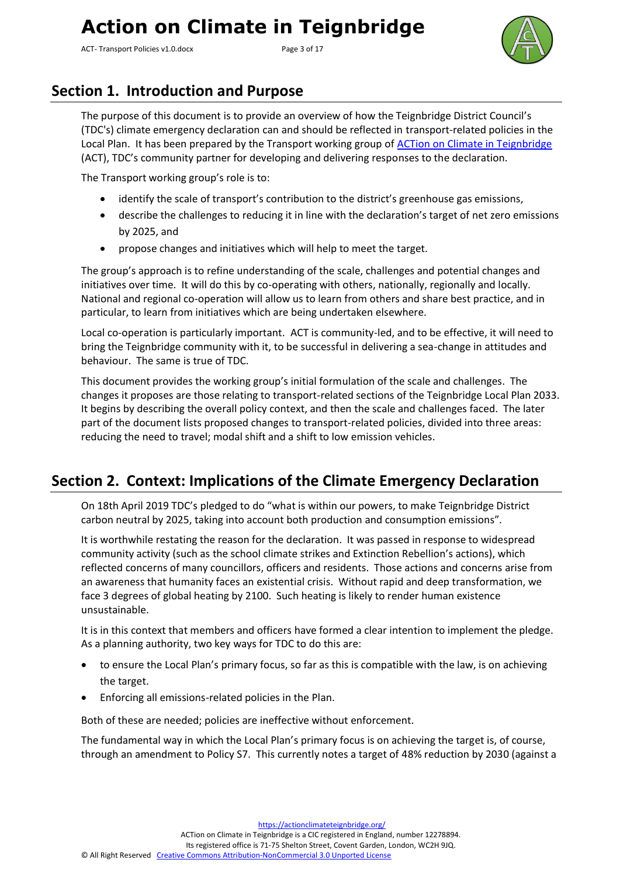ACT- Transport Policies v1.0.docx Page 3 of 17



### <span id="page-2-0"></span>**Section 1. Introduction and Purpose**

The purpose of this document is to provide an overview of how the Teignbridge District Council's (TDC's) climate emergency declaration can and should be reflected in transport-related policies in the Local Plan. It has been prepared by the Transport working group of [ACTion on Climate in Teignbridge](https://actionclimateteignbridge.org/) (ACT), TDC's community partner for developing and delivering responses to the declaration.

The Transport working group's role is to:

- identify the scale of transport's contribution to the district's greenhouse gas emissions,
- describe the challenges to reducing it in line with the declaration's target of net zero emissions by 2025, and
- propose changes and initiatives which will help to meet the target.

The group's approach is to refine understanding of the scale, challenges and potential changes and initiatives over time. It will do this by co-operating with others, nationally, regionally and locally. National and regional co-operation will allow us to learn from others and share best practice, and in particular, to learn from initiatives which are being undertaken elsewhere.

Local co-operation is particularly important. ACT is community-led, and to be effective, it will need to bring the Teignbridge community with it, to be successful in delivering a sea-change in attitudes and behaviour. The same is true of TDC.

This document provides the working group's initial formulation of the scale and challenges. The changes it proposes are those relating to transport-related sections of the Teignbridge Local Plan 2033. It begins by describing the overall policy context, and then the scale and challenges faced. The later part of the document lists proposed changes to transport-related policies, divided into three areas: reducing the need to travel; modal shift and a shift to low emission vehicles.

### <span id="page-2-1"></span>**Section 2. Context: Implications of the Climate Emergency Declaration**

On 18th April 2019 TDC's pledged to do "what is within our powers, to make Teignbridge District carbon neutral by 2025, taking into account both production and consumption emissions".

It is worthwhile restating the reason for the declaration. It was passed in response to widespread community activity (such as the school climate strikes and Extinction Rebellion's actions), which reflected concerns of many councillors, officers and residents. Those actions and concerns arise from an awareness that humanity faces an existential crisis. Without rapid and deep transformation, we face 3 degrees of global heating by 2100. Such heating is likely to render human existence unsustainable.

It is in this context that members and officers have formed a clear intention to implement the pledge. As a planning authority, two key ways for TDC to do this are:

- to ensure the Local Plan's primary focus, so far as this is compatible with the law, is on achieving the target.
- Enforcing all emissions-related policies in the Plan.

Both of these are needed; policies are ineffective without enforcement.

The fundamental way in which the Local Plan's primary focus is on achieving the target is, of course, through an amendment to Policy S7. This currently notes a target of 48% reduction by 2030 (against a

<https://actionclimateteignbridge.org/>

ACTion on Climate in Teignbridge is a CIC registered in England, number 12278894.

Its registered office is 71-75 Shelton Street, Covent Garden, London, WC2H 9JQ.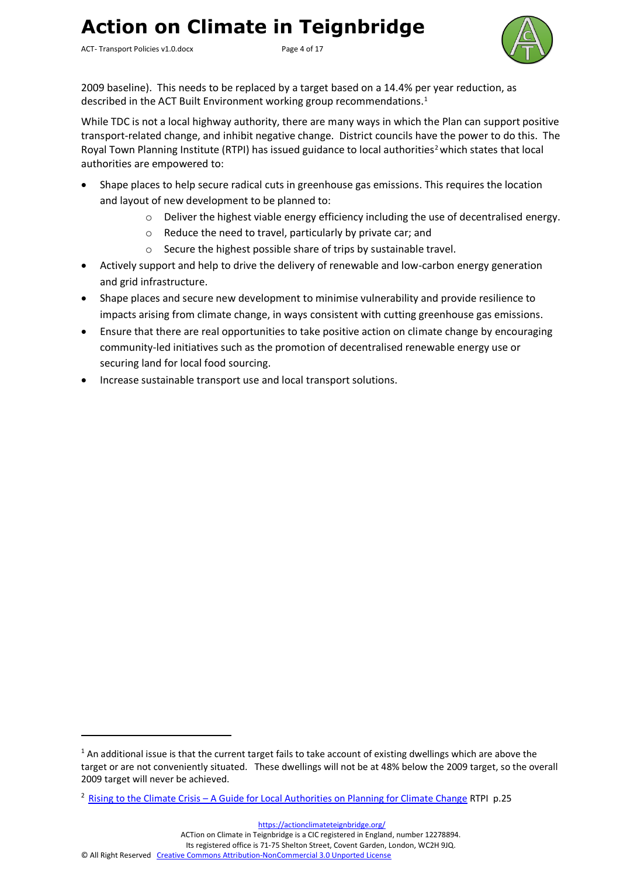ACT- Transport Policies v1.0.docx Page 4 of 17



2009 baseline). This needs to be replaced by a target based on a 14.4% per year reduction, as described in the ACT Built Environment working group recommendations.<sup>1</sup>

While TDC is not a local highway authority, there are many ways in which the Plan can support positive transport-related change, and inhibit negative change. District councils have the power to do this. The Royal Town Planning Institute (RTPI) has issued guidance to local authorities<sup>2</sup> which states that local authorities are empowered to:

- Shape places to help secure radical cuts in greenhouse gas emissions. This requires the location and layout of new development to be planned to:
	- o Deliver the highest viable energy efficiency including the use of decentralised energy.
	- o Reduce the need to travel, particularly by private car; and
	- o Secure the highest possible share of trips by sustainable travel.
- Actively support and help to drive the delivery of renewable and low-carbon energy generation and grid infrastructure.
- Shape places and secure new development to minimise vulnerability and provide resilience to impacts arising from climate change, in ways consistent with cutting greenhouse gas emissions.
- Ensure that there are real opportunities to take positive action on climate change by encouraging community-led initiatives such as the promotion of decentralised renewable energy use or securing land for local food sourcing.
- Increase sustainable transport use and local transport solutions.

<https://actionclimateteignbridge.org/>

ACTion on Climate in Teignbridge is a CIC registered in England, number 12278894.

Its registered office is 71-75 Shelton Street, Covent Garden, London, WC2H 9JQ.

 $1$  An additional issue is that the current target fails to take account of existing dwellings which are above the target or are not conveniently situated. These dwellings will not be at 48% below the 2009 target, so the overall 2009 target will never be achieved.

<sup>2</sup> Rising to the Climate Crisis – [A Guide for Local Authorities on Planning for Climate Change](https://www.tcpa.org.uk/Handlers/Download.ashx?IDMF=fd66dbe5-2b88-4acf-b927-256a82db9abe) RTPI p.25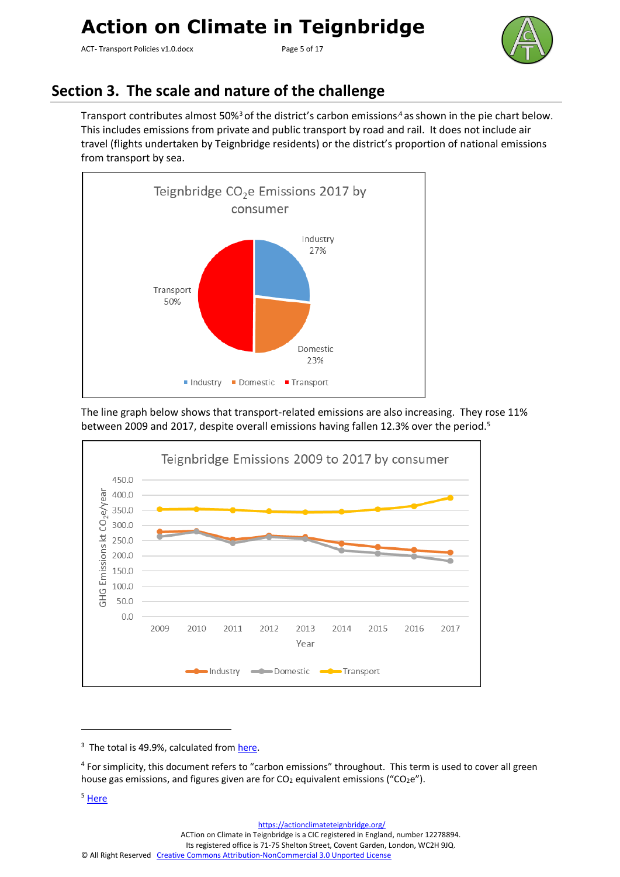ACT- Transport Policies v1.0.docx Page 5 of 17



### <span id="page-4-0"></span>**Section 3. The scale and nature of the challenge**

Transport contributes almost 50%<sup>3</sup> of the district's carbon emissions,<sup>4</sup> as shown in the pie chart below. This includes emissions from private and public transport by road and rail. It does not include air travel (flights undertaken by Teignbridge residents) or the district's proportion of national emissions from transport by sea.



The line graph below shows that transport-related emissions are also increasing. They rose 11% between 2009 and 2017, despite overall emissions having fallen 12.3% over the period.<sup>5</sup>



ACTion on Climate in Teignbridge is a CIC registered in England, number 12278894.

<sup>&</sup>lt;sup>3</sup> The total is 49.9%, calculated fro[m here.](https://assets.publishing.service.gov.uk/government/uploads/system/uploads/attachment_data/file/812142/2005-17_UK_local_and_regional_CO2_emissions_tables.xlsx)

<sup>&</sup>lt;sup>4</sup> For simplicity, this document refers to "carbon emissions" throughout. This term is used to cover all green house gas emissions, and figures given are for  $CO<sub>2</sub>$  equivalent emissions ("CO<sub>2</sub>e").

<sup>5</sup> [Here](https://assets.publishing.service.gov.uk/government/uploads/system/uploads/attachment_data/file/812142/2005-17_UK_local_and_regional_CO2_emissions_tables.xlsx)

<sup>©</sup> All Right Reserved [Creative Commons Attribution-NonCommercial 3.0 Unported License](http://creativecommons.org/licenses/by-nc/3.0/)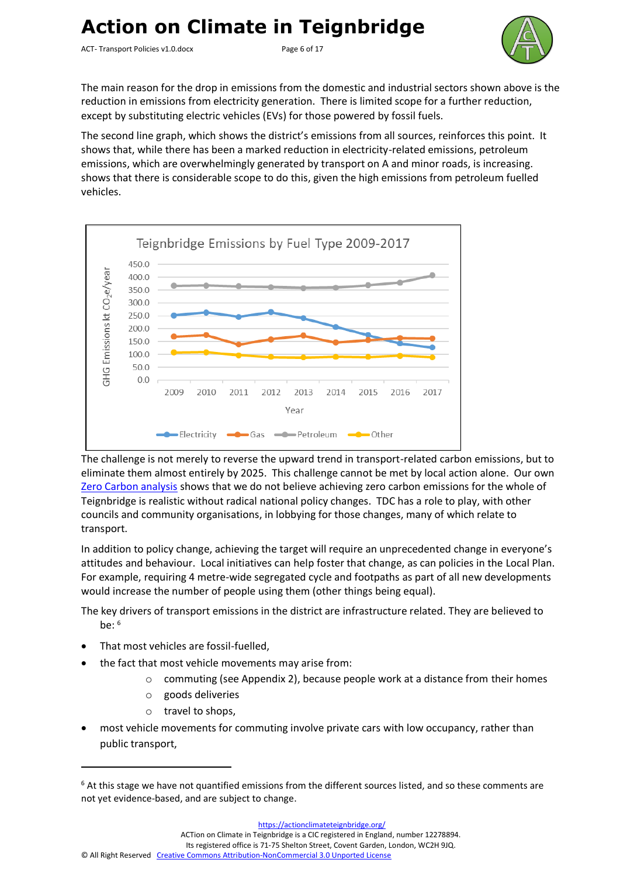ACT- Transport Policies v1.0.docx Page 6 of 17



The main reason for the drop in emissions from the domestic and industrial sectors shown above is the reduction in emissions from electricity generation. There is limited scope for a further reduction, except by substituting electric vehicles (EVs) for those powered by fossil fuels.

The second line graph, which shows the district's emissions from all sources, reinforces this point. It shows that, while there has been a marked reduction in electricity-related emissions, petroleum emissions, which are overwhelmingly generated by transport on A and minor roads, is increasing. shows that there is considerable scope to do this, given the high emissions from petroleum fuelled vehicles.



The challenge is not merely to reverse the upward trend in transport-related carbon emissions, but to eliminate them almost entirely by 2025. This challenge cannot be met by local action alone. Our own [Zero Carbon analysis](http://teignenergycommunities.co.uk/wp-content/uploads/2019/09/TECs-Zero-Carbon-v0.10.pdf) shows that we do not believe achieving zero carbon emissions for the whole of Teignbridge is realistic without radical national policy changes. TDC has a role to play, with other councils and community organisations, in lobbying for those changes, many of which relate to transport.

In addition to policy change, achieving the target will require an unprecedented change in everyone's attitudes and behaviour. Local initiatives can help foster that change, as can policies in the Local Plan. For example, requiring 4 metre-wide segregated cycle and footpaths as part of all new developments would increase the number of people using them (other things being equal).

The key drivers of transport emissions in the district are infrastructure related. They are believed to  $he^{6}$ 

- That most vehicles are fossil-fuelled.
- the fact that most vehicle movements may arise from:
	- $\circ$  commuting (see Appendix 2), because people work at a distance from their homes
	- o goods deliveries
	- o travel to shops,
- most vehicle movements for commuting involve private cars with low occupancy, rather than public transport,

 $6$  At this stage we have not quantified emissions from the different sources listed, and so these comments are not yet evidence-based, and are subject to change.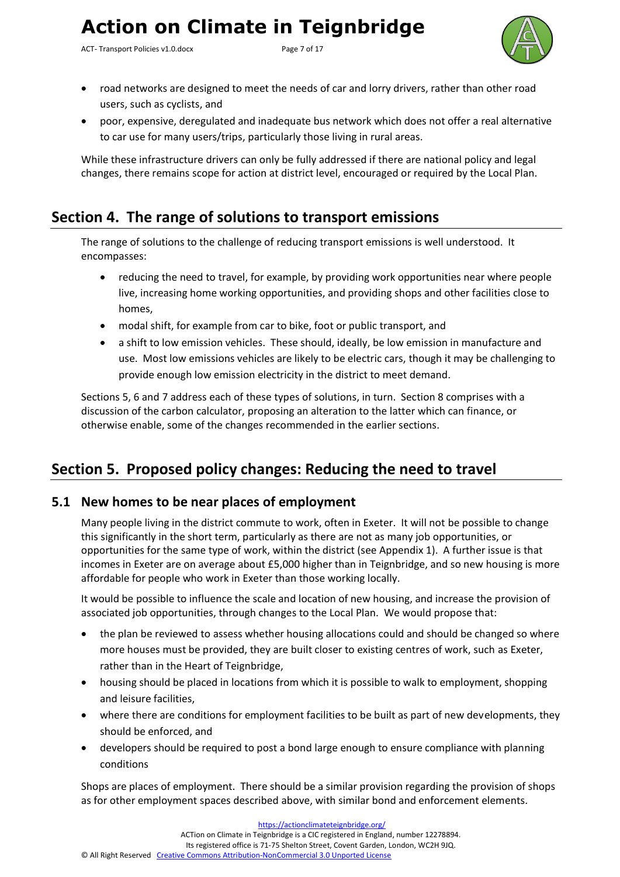ACT- Transport Policies v1.0.docx Page 7 of 17



- road networks are designed to meet the needs of car and lorry drivers, rather than other road users, such as cyclists, and
- poor, expensive, deregulated and inadequate bus network which does not offer a real alternative to car use for many users/trips, particularly those living in rural areas.

While these infrastructure drivers can only be fully addressed if there are national policy and legal changes, there remains scope for action at district level, encouraged or required by the Local Plan.

### <span id="page-6-0"></span>**Section 4. The range of solutions to transport emissions**

The range of solutions to the challenge of reducing transport emissions is well understood. It encompasses:

- reducing the need to travel, for example, by providing work opportunities near where people live, increasing home working opportunities, and providing shops and other facilities close to homes,
- modal shift, for example from car to bike, foot or public transport, and
- a shift to low emission vehicles. These should, ideally, be low emission in manufacture and use. Most low emissions vehicles are likely to be electric cars, though it may be challenging to provide enough low emission electricity in the district to meet demand.

Sections 5, 6 and 7 address each of these types of solutions, in turn. Section 8 comprises with a discussion of the carbon calculator, proposing an alteration to the latter which can finance, or otherwise enable, some of the changes recommended in the earlier sections.

### <span id="page-6-1"></span>**Section 5. Proposed policy changes: Reducing the need to travel**

#### <span id="page-6-2"></span>**5.1 New homes to be near places of employment**

Many people living in the district commute to work, often in Exeter. It will not be possible to change this significantly in the short term, particularly as there are not as many job opportunities, or opportunities for the same type of work, within the district (see Appendix 1). A further issue is that incomes in Exeter are on average about £5,000 higher than in Teignbridge, and so new housing is more affordable for people who work in Exeter than those working locally.

It would be possible to influence the scale and location of new housing, and increase the provision of associated job opportunities, through changes to the Local Plan. We would propose that:

- the plan be reviewed to assess whether housing allocations could and should be changed so where more houses must be provided, they are built closer to existing centres of work, such as Exeter, rather than in the Heart of Teignbridge,
- housing should be placed in locations from which it is possible to walk to employment, shopping and leisure facilities,
- where there are conditions for employment facilities to be built as part of new developments, they should be enforced, and
- developers should be required to post a bond large enough to ensure compliance with planning conditions

Shops are places of employment. There should be a similar provision regarding the provision of shops as for other employment spaces described above, with similar bond and enforcement elements.

<https://actionclimateteignbridge.org/> ACTion on Climate in Teignbridge is a CIC registered in England, number 12278894. Its registered office is 71-75 Shelton Street, Covent Garden, London, WC2H 9JQ. © All Right Reserved [Creative Commons Attribution-NonCommercial 3.0 Unported License](http://creativecommons.org/licenses/by-nc/3.0/)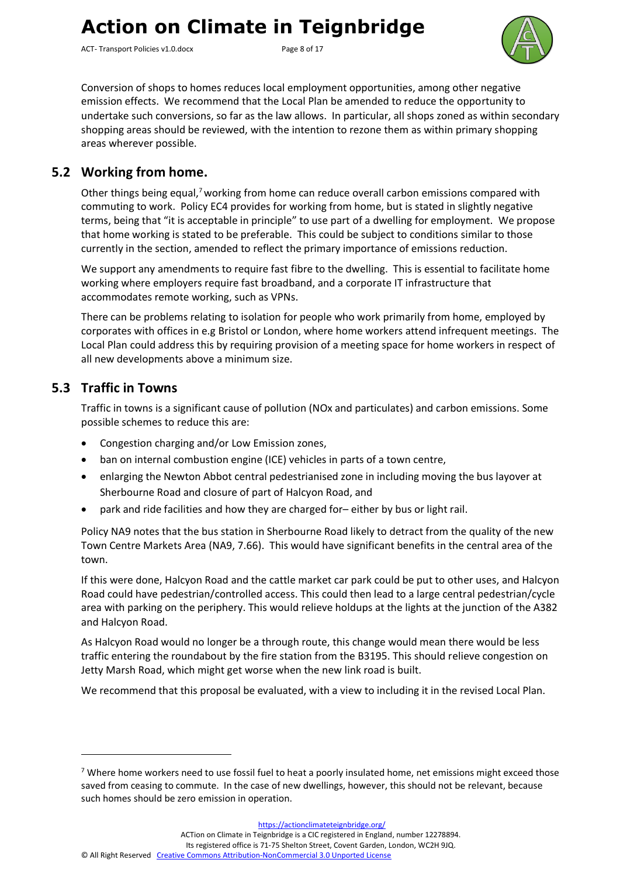ACT- Transport Policies v1.0.docx Page 8 of 17



Conversion of shops to homes reduces local employment opportunities, among other negative emission effects. We recommend that the Local Plan be amended to reduce the opportunity to undertake such conversions, so far as the law allows. In particular, all shops zoned as within secondary shopping areas should be reviewed, with the intention to rezone them as within primary shopping areas wherever possible.

#### <span id="page-7-0"></span>**5.2 Working from home.**

Other things being equal,<sup>7</sup> working from home can reduce overall carbon emissions compared with commuting to work. Policy EC4 provides for working from home, but is stated in slightly negative terms, being that "it is acceptable in principle" to use part of a dwelling for employment. We propose that home working is stated to be preferable. This could be subject to conditions similar to those currently in the section, amended to reflect the primary importance of emissions reduction.

We support any amendments to require fast fibre to the dwelling. This is essential to facilitate home working where employers require fast broadband, and a corporate IT infrastructure that accommodates remote working, such as VPNs.

There can be problems relating to isolation for people who work primarily from home, employed by corporates with offices in e.g Bristol or London, where home workers attend infrequent meetings. The Local Plan could address this by requiring provision of a meeting space for home workers in respect of all new developments above a minimum size.

#### <span id="page-7-1"></span>**5.3 Traffic in Towns**

Traffic in towns is a significant cause of pollution (NOx and particulates) and carbon emissions. Some possible schemes to reduce this are:

- Congestion charging and/or Low Emission zones,
- ban on internal combustion engine (ICE) vehicles in parts of a town centre,
- enlarging the Newton Abbot central pedestrianised zone in including moving the bus layover at Sherbourne Road and closure of part of Halcyon Road, and
- park and ride facilities and how they are charged for– either by bus or light rail.

Policy NA9 notes that the bus station in Sherbourne Road likely to detract from the quality of the new Town Centre Markets Area (NA9, 7.66). This would have significant benefits in the central area of the town.

If this were done, Halcyon Road and the cattle market car park could be put to other uses, and Halcyon Road could have pedestrian/controlled access. This could then lead to a large central pedestrian/cycle area with parking on the periphery. This would relieve holdups at the lights at the junction of the A382 and Halcyon Road.

As Halcyon Road would no longer be a through route, this change would mean there would be less traffic entering the roundabout by the fire station from the B3195. This should relieve congestion on Jetty Marsh Road, which might get worse when the new link road is built.

We recommend that this proposal be evaluated, with a view to including it in the revised Local Plan.

<https://actionclimateteignbridge.org/>

ACTion on Climate in Teignbridge is a CIC registered in England, number 12278894.

Its registered office is 71-75 Shelton Street, Covent Garden, London, WC2H 9JQ.

<sup>&</sup>lt;sup>7</sup> Where home workers need to use fossil fuel to heat a poorly insulated home, net emissions might exceed those saved from ceasing to commute. In the case of new dwellings, however, this should not be relevant, because such homes should be zero emission in operation.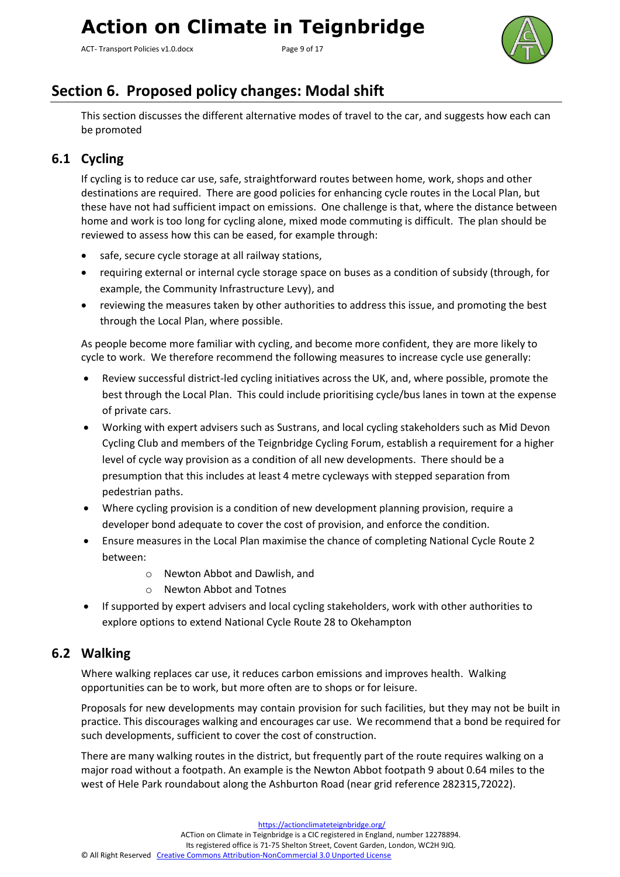ACT- Transport Policies v1.0.docx Page 9 of 17



### <span id="page-8-0"></span>**Section 6. Proposed policy changes: Modal shift**

This section discusses the different alternative modes of travel to the car, and suggests how each can be promoted

### <span id="page-8-1"></span>**6.1 Cycling**

If cycling is to reduce car use, safe, straightforward routes between home, work, shops and other destinations are required. There are good policies for enhancing cycle routes in the Local Plan, but these have not had sufficient impact on emissions. One challenge is that, where the distance between home and work is too long for cycling alone, mixed mode commuting is difficult. The plan should be reviewed to assess how this can be eased, for example through:

- safe, secure cycle storage at all railway stations,
- requiring external or internal cycle storage space on buses as a condition of subsidy (through, for example, the Community Infrastructure Levy), and
- reviewing the measures taken by other authorities to address this issue, and promoting the best through the Local Plan, where possible.

As people become more familiar with cycling, and become more confident, they are more likely to cycle to work. We therefore recommend the following measures to increase cycle use generally:

- Review successful district-led cycling initiatives across the UK, and, where possible, promote the best through the Local Plan. This could include prioritising cycle/bus lanes in town at the expense of private cars.
- Working with expert advisers such as Sustrans, and local cycling stakeholders such as Mid Devon Cycling Club and members of the Teignbridge Cycling Forum, establish a requirement for a higher level of cycle way provision as a condition of all new developments. There should be a presumption that this includes at least 4 metre cycleways with stepped separation from pedestrian paths.
- Where cycling provision is a condition of new development planning provision, require a developer bond adequate to cover the cost of provision, and enforce the condition.
- Ensure measures in the Local Plan maximise the chance of completing National Cycle Route 2 between:
	- o Newton Abbot and Dawlish, and
	- o Newton Abbot and Totnes
- If supported by expert advisers and local cycling stakeholders, work with other authorities to explore options to extend National Cycle Route 28 to Okehampton

#### <span id="page-8-2"></span>**6.2 Walking**

Where walking replaces car use, it reduces carbon emissions and improves health. Walking opportunities can be to work, but more often are to shops or for leisure.

Proposals for new developments may contain provision for such facilities, but they may not be built in practice. This discourages walking and encourages car use. We recommend that a bond be required for such developments, sufficient to cover the cost of construction.

There are many walking routes in the district, but frequently part of the route requires walking on a major road without a footpath. An example is the Newton Abbot footpath 9 about 0.64 miles to the west of Hele Park roundabout along the Ashburton Road (near grid reference 282315,72022).

<https://actionclimateteignbridge.org/> ACTion on Climate in Teignbridge is a CIC registered in England, number 12278894. Its registered office is 71-75 Shelton Street, Covent Garden, London, WC2H 9JQ. © All Right Reserved [Creative Commons Attribution-NonCommercial 3.0 Unported License](http://creativecommons.org/licenses/by-nc/3.0/)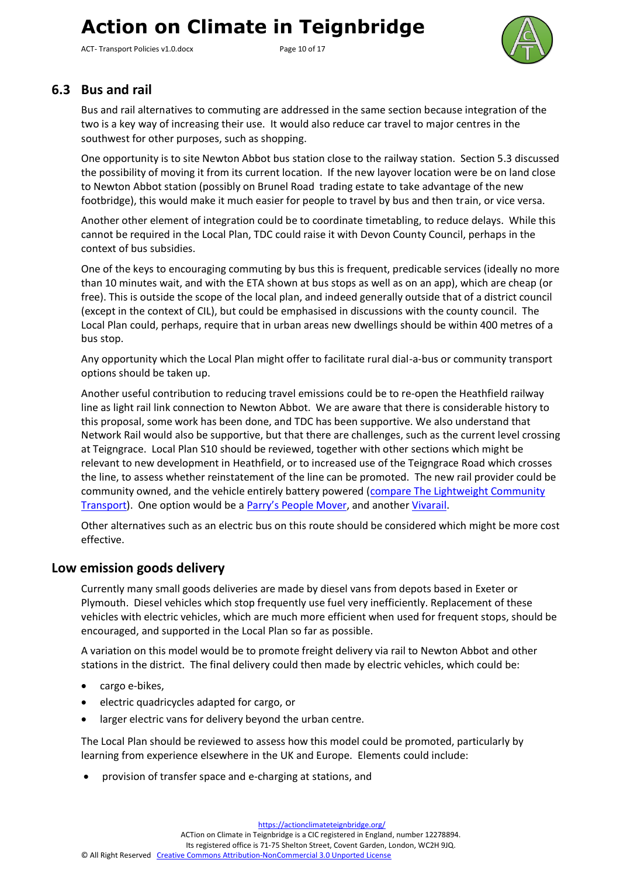ACT- Transport Policies v1.0.docx Page 10 of 17



#### <span id="page-9-0"></span>**6.3 Bus and rail**

Bus and rail alternatives to commuting are addressed in the same section because integration of the two is a key way of increasing their use. It would also reduce car travel to major centres in the southwest for other purposes, such as shopping.

One opportunity is to site Newton Abbot bus station close to the railway station. Section 5.3 discussed the possibility of moving it from its current location. If the new layover location were be on land close to Newton Abbot station (possibly on Brunel Road trading estate to take advantage of the new footbridge), this would make it much easier for people to travel by bus and then train, or vice versa.

Another other element of integration could be to coordinate timetabling, to reduce delays. While this cannot be required in the Local Plan, TDC could raise it with Devon County Council, perhaps in the context of bus subsidies.

One of the keys to encouraging commuting by bus this is frequent, predicable services (ideally no more than 10 minutes wait, and with the ETA shown at bus stops as well as on an app), which are cheap (or free). This is outside the scope of the local plan, and indeed generally outside that of a district council (except in the context of CIL), but could be emphasised in discussions with the county council. The Local Plan could, perhaps, require that in urban areas new dwellings should be within 400 metres of a bus stop.

Any opportunity which the Local Plan might offer to facilitate rural dial-a-bus or community transport options should be taken up.

Another useful contribution to reducing travel emissions could be to re-open the Heathfield railway line as light rail link connection to Newton Abbot. We are aware that there is considerable history to this proposal, some work has been done, and TDC has been supportive. We also understand that Network Rail would also be supportive, but that there are challenges, such as the current level crossing at Teigngrace. Local Plan S10 should be reviewed, together with other sections which might be relevant to new development in Heathfield, or to increased use of the Teigngrace Road which crosses the line, to assess whether reinstatement of the line can be promoted. The new rail provider could be community owned, and the vehicle entirely battery powered [\(compare The Lightweight Community](http://www.lctltd.co.uk/)  [Transport\)](http://www.lctltd.co.uk/). One option would be a [Parry's People Mover](https://en.wikipedia.org/wiki/Parry_People_Movers), and another [Vivarail.](http://vivarail.co.uk/)

Other alternatives such as an electric bus on this route should be considered which might be more cost effective.

#### <span id="page-9-1"></span>**Low emission goods delivery**

Currently many small goods deliveries are made by diesel vans from depots based in Exeter or Plymouth. Diesel vehicles which stop frequently use fuel very inefficiently. Replacement of these vehicles with electric vehicles, which are much more efficient when used for frequent stops, should be encouraged, and supported in the Local Plan so far as possible.

A variation on this model would be to promote freight delivery via rail to Newton Abbot and other stations in the district. The final delivery could then made by electric vehicles, which could be:

- cargo e-bikes,
- electric quadricycles adapted for cargo, or
- larger electric vans for delivery beyond the urban centre.

The Local Plan should be reviewed to assess how this model could be promoted, particularly by learning from experience elsewhere in the UK and Europe. Elements could include:

• provision of transfer space and e-charging at stations, and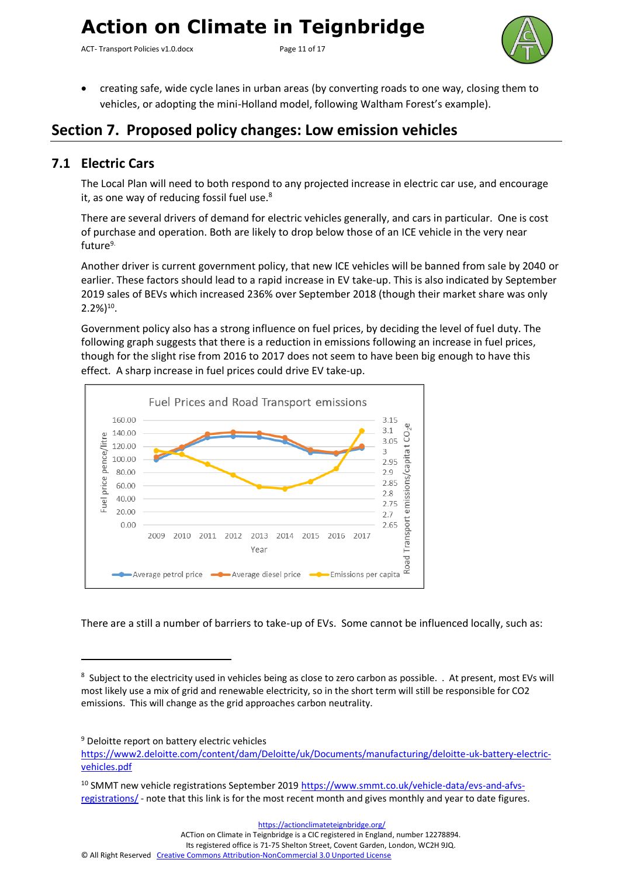ACT- Transport Policies v1.0.docx Page 11 of 17



• creating safe, wide cycle lanes in urban areas (by converting roads to one way, closing them to vehicles, or adopting the mini-Holland model, following [Waltham Forest's](https://walthamforest.gov.uk/content/creating-mini-holland-waltham-forest) example).

### <span id="page-10-0"></span>**Section 7. Proposed policy changes: Low emission vehicles**

#### <span id="page-10-1"></span>**7.1 Electric Cars**

The Local Plan will need to both respond to any projected increase in electric car use, and encourage it, as one way of reducing fossil fuel use.<sup>8</sup>

There are several drivers of demand for electric vehicles generally, and cars in particular. One is cost of purchase and operation. Both are likely to drop below those of an ICE vehicle in the very near future<sup>9.</sup>

Another driver is current government policy, that new ICE vehicles will be banned from sale by 2040 or earlier. These factors should lead to a rapid increase in EV take-up. This is also indicated by September 2019 sales of BEVs which increased 236% over September 2018 (though their market share was only  $2.2\%)^{10}$ .

Government policy also has a strong influence on fuel prices, by deciding the level of fuel duty. The following graph suggests that there is a reduction in emissions following an increase in fuel prices, though for the slight rise from 2016 to 2017 does not seem to have been big enough to have this effect. A sharp increase in fuel prices could drive EV take-up.



There are a still a number of barriers to take-up of EVs. Some cannot be influenced locally, such as:

<https://actionclimateteignbridge.org/>

ACTion on Climate in Teignbridge is a CIC registered in England, number 12278894.

Its registered office is 71-75 Shelton Street, Covent Garden, London, WC2H 9JQ.

<sup>&</sup>lt;sup>8</sup> Subject to the electricity used in vehicles being as close to zero carbon as possible. . At present, most EVs will most likely use a mix of grid and renewable electricity, so in the short term will still be responsible for CO2 emissions. This will change as the grid approaches carbon neutrality.

<sup>&</sup>lt;sup>9</sup> Deloitte report on battery electric vehicles

[https://www2.deloitte.com/content/dam/Deloitte/uk/Documents/manufacturing/deloitte-uk-battery-electric](https://www2.deloitte.com/content/dam/Deloitte/uk/Documents/manufacturing/deloitte-uk-battery-electric-vehicles.pdf)[vehicles.pdf](https://www2.deloitte.com/content/dam/Deloitte/uk/Documents/manufacturing/deloitte-uk-battery-electric-vehicles.pdf)

<sup>&</sup>lt;sup>10</sup> SMMT new vehicle registrations September 2019 [https://www.smmt.co.uk/vehicle-data/evs-and-afvs](https://www.smmt.co.uk/vehicle-data/evs-and-afvs-registrations/)[registrations/](https://www.smmt.co.uk/vehicle-data/evs-and-afvs-registrations/) - note that this link is for the most recent month and gives monthly and year to date figures.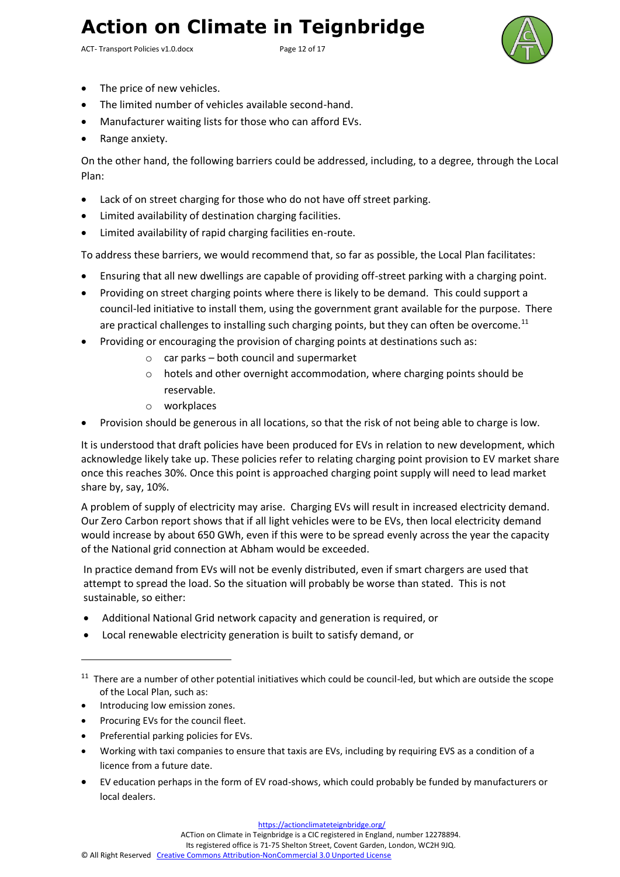ACT- Transport Policies v1.0.docx Page 12 of 17



- The price of new vehicles.
- The limited number of vehicles available second-hand.
- Manufacturer waiting lists for those who can afford EVs.
- Range anxiety.

On the other hand, the following barriers could be addressed, including, to a degree, through the Local Plan:

- Lack of on street charging for those who do not have off street parking.
- Limited availability of destination charging facilities.
- Limited availability of rapid charging facilities en-route.

To address these barriers, we would recommend that, so far as possible, the Local Plan facilitates:

- Ensuring that all new dwellings are capable of providing off-street parking with a charging point.
- Providing on street charging points where there is likely to be demand. This could support a council-led initiative to install them, using the government grant available for the purpose. There are practical challenges to installing such charging points, but they can often be overcome.<sup>11</sup>
- Providing or encouraging the provision of charging points at destinations such as:
	- o car parks both council and supermarket
	- $\circ$  hotels and other overnight accommodation, where charging points should be reservable.
	- o workplaces
- Provision should be generous in all locations, so that the risk of not being able to charge is low.

It is understood that draft policies have been produced for EVs in relation to new development, which acknowledge likely take up. These policies refer to relating charging point provision to EV market share once this reaches 30%. Once this point is approached charging point supply will need to lead market share by, say, 10%.

A problem of supply of electricity may arise. Charging EVs will result in increased electricity demand. Our Zero Carbon report shows that if all light vehicles were to be EVs, then local electricity demand would increase by about 650 GWh, even if this were to be spread evenly across the year the capacity of the National grid connection at Abham would be exceeded.

In practice demand from EVs will not be evenly distributed, even if smart chargers are used that attempt to spread the load. So the situation will probably be worse than stated. This is not sustainable, so either:

- Additional National Grid network capacity and generation is required, or
- Local renewable electricity generation is built to satisfy demand, or

- Introducing low emission zones.
- Procuring EVs for the council fleet.
- Preferential parking policies for EVs.
- Working with taxi companies to ensure that taxis are EVs, including by requiring EVS as a condition of a licence from a future date.
- EV education perhaps in the form of EV road-shows, which could probably be funded by manufacturers or local dealers.

ACTion on Climate in Teignbridge is a CIC registered in England, number 12278894.

<sup>&</sup>lt;sup>11</sup> There are a number of other potential initiatives which could be council-led, but which are outside the scope of the Local Plan, such as: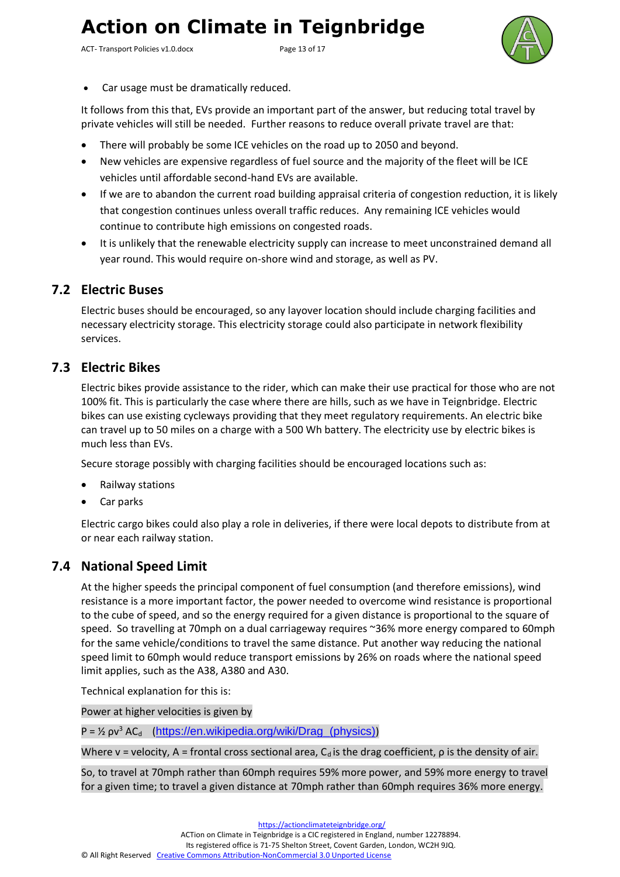ACT- Transport Policies v1.0.docx Page 13 of 17



• Car usage must be dramatically reduced.

It follows from this that, EVs provide an important part of the answer, but reducing total travel by private vehicles will still be needed. Further reasons to reduce overall private travel are that:

- There will probably be some ICE vehicles on the road up to 2050 and beyond.
- New vehicles are expensive regardless of fuel source and the majority of the fleet will be ICE vehicles until affordable second-hand EVs are available.
- If we are to abandon the current road building appraisal criteria of congestion reduction, it is likely that congestion continues unless overall traffic reduces. Any remaining ICE vehicles would continue to contribute high emissions on congested roads.
- It is unlikely that the renewable electricity supply can increase to meet unconstrained demand all year round. This would require on-shore wind and storage, as well as PV.

#### <span id="page-12-0"></span>**7.2 Electric Buses**

Electric buses should be encouraged, so any layover location should include charging facilities and necessary electricity storage. This electricity storage could also participate in network flexibility services.

#### <span id="page-12-1"></span>**7.3 Electric Bikes**

Electric bikes provide assistance to the rider, which can make their use practical for those who are not 100% fit. This is particularly the case where there are hills, such as we have in Teignbridge. Electric bikes can use existing cycleways providing that they meet regulatory requirements. An electric bike can travel up to 50 miles on a charge with a 500 Wh battery. The electricity use by electric bikes is much less than EVs.

Secure storage possibly with charging facilities should be encouraged locations such as:

- Railway stations
- Car parks

Electric cargo bikes could also play a role in deliveries, if there were local depots to distribute from at or near each railway station.

#### <span id="page-12-2"></span>**7.4 National Speed Limit**

At the higher speeds the principal component of fuel consumption (and therefore emissions), wind resistance is a more important factor, the power needed to overcome wind resistance is proportional to the cube of speed, and so the energy required for a given distance is proportional to the square of speed. So travelling at 70mph on a dual carriageway requires ~36% more energy compared to 60mph for the same vehicle/conditions to travel the same distance. Put another way reducing the national speed limit to 60mph would reduce transport emissions by 26% on roads where the national speed limit applies, such as the A38, A380 and A30.

Technical explanation for this is:

Power at higher velocities is given by

 $P = \frac{1}{2} \rho v^3 AC_d$  (https://en.wikipedia.org/wiki/Drag (physics))

Where v = velocity, A = frontal cross sectional area,  $C_d$  is the drag coefficient,  $\rho$  is the density of air.

So, to travel at 70mph rather than 60mph requires 59% more power, and 59% more energy to travel for a given time; to travel a given distance at 70mph rather than 60mph requires 36% more energy.

<https://actionclimateteignbridge.org/>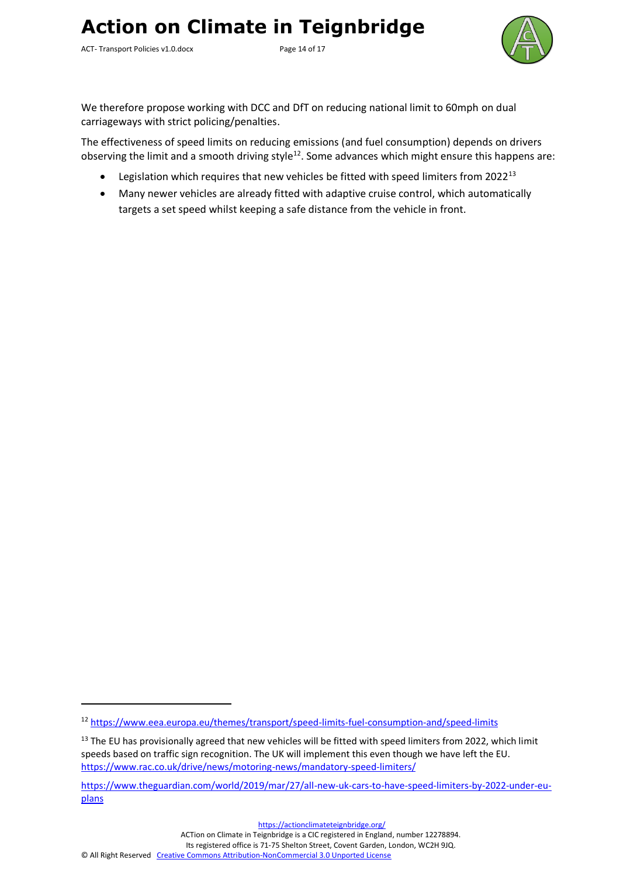ACT- Transport Policies v1.0.docx Page 14 of 17



We therefore propose working with DCC and DfT on reducing national limit to 60mph on dual carriageways with strict policing/penalties.

The effectiveness of speed limits on reducing emissions (and fuel consumption) depends on drivers observing the limit and a smooth driving style<sup>12</sup>. Some advances which might ensure this happens are:

- Legislation which requires that new vehicles be fitted with speed limiters from  $2022^{13}$
- Many newer vehicles are already fitted with adaptive cruise control, which automatically targets a set speed whilst keeping a safe distance from the vehicle in front.

ACTion on Climate in Teignbridge is a CIC registered in England, number 12278894.

<sup>12</sup> <https://www.eea.europa.eu/themes/transport/speed-limits-fuel-consumption-and/speed-limits>

<sup>&</sup>lt;sup>13</sup> The EU has provisionally agreed that new vehicles will be fitted with speed limiters from 2022, which limit speeds based on traffic sign recognition. The UK will implement this even though we have left the EU. <https://www.rac.co.uk/drive/news/motoring-news/mandatory-speed-limiters/>

[https://www.theguardian.com/world/2019/mar/27/all-new-uk-cars-to-have-speed-limiters-by-2022-under-eu](https://www.theguardian.com/world/2019/mar/27/all-new-uk-cars-to-have-speed-limiters-by-2022-under-eu-plans)[plans](https://www.theguardian.com/world/2019/mar/27/all-new-uk-cars-to-have-speed-limiters-by-2022-under-eu-plans)

<https://actionclimateteignbridge.org/>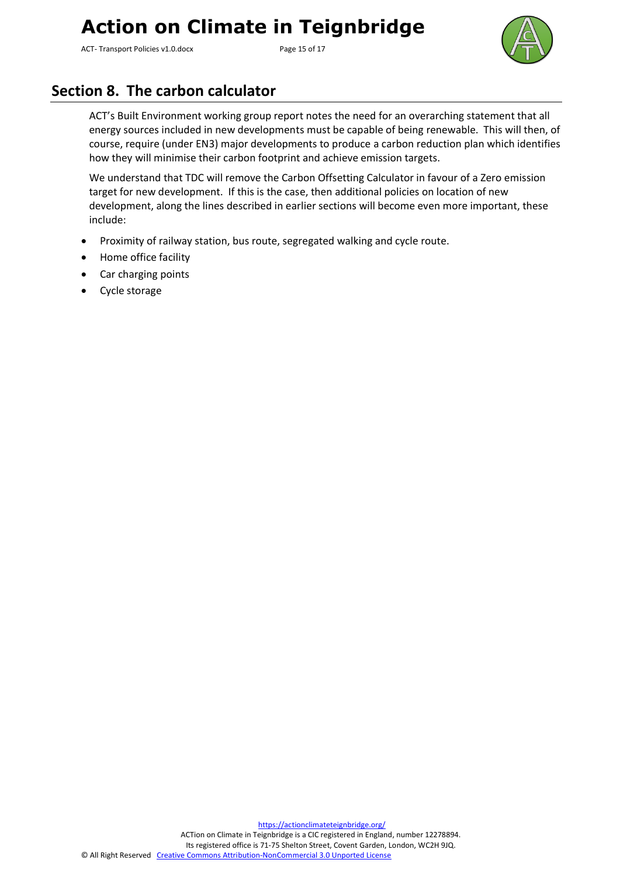ACT- Transport Policies v1.0.docx Page 15 of 17



### <span id="page-14-0"></span>**Section 8. The carbon calculator**

ACT's Built Environment working group report notes the need for an overarching statement that all energy sources included in new developments must be capable of being renewable. This will then, of course, require (under EN3) major developments to produce a carbon reduction plan which identifies how they will minimise their carbon footprint and achieve emission targets.

We understand that TDC will remove the Carbon Offsetting Calculator in favour of a Zero emission target for new development. If this is the case, then additional policies on location of new development, along the lines described in earlier sections will become even more important, these include:

- Proximity of railway station, bus route, segregated walking and cycle route.
- Home office facility
- Car charging points
- Cycle storage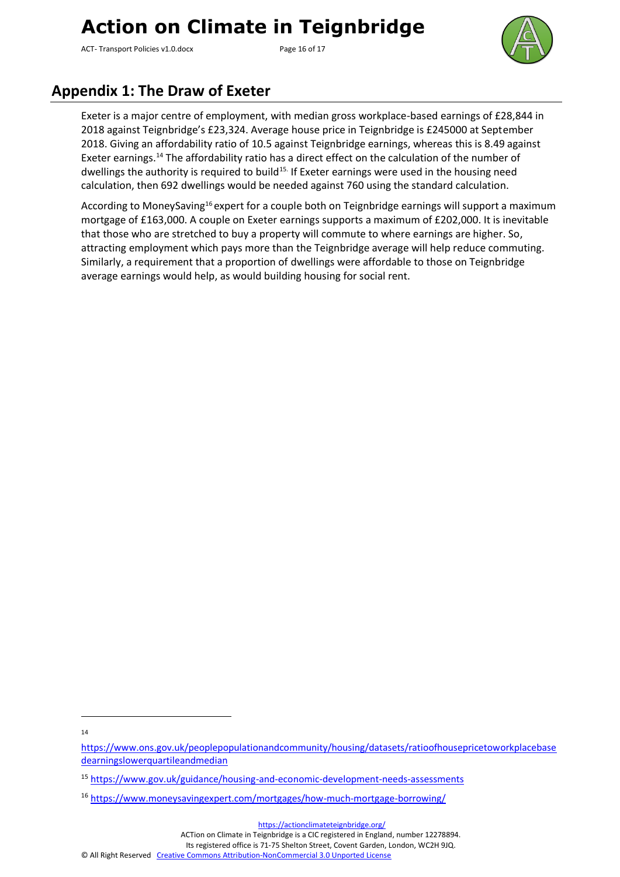ACT- Transport Policies v1.0.docx Page 16 of 17



### <span id="page-15-0"></span>**Appendix 1: The Draw of Exeter**

Exeter is a major centre of employment, with median gross workplace-based earnings of £28,844 in 2018 against Teignbridge's £23,324. Average house price in Teignbridge is £245000 at September 2018. Giving an affordability ratio of 10.5 against Teignbridge earnings, whereas this is 8.49 against Exeter earnings.<sup>14</sup> The affordability ratio has a direct effect on the calculation of the number of dwellings the authority is required to build<sup>15.</sup> If Exeter earnings were used in the housing need calculation, then 692 dwellings would be needed against 760 using the standard calculation.

According to MoneySaving<sup>16</sup> expert for a couple both on Teignbridge earnings will support a maximum mortgage of £163,000. A couple on Exeter earnings supports a maximum of £202,000. It is inevitable that those who are stretched to buy a property will commute to where earnings are higher. So, attracting employment which pays more than the Teignbridge average will help reduce commuting. Similarly, a requirement that a proportion of dwellings were affordable to those on Teignbridge average earnings would help, as would building housing for social rent.

ACTion on Climate in Teignbridge is a CIC registered in England, number 12278894.

<sup>14</sup>

[https://www.ons.gov.uk/peoplepopulationandcommunity/housing/datasets/ratioofhousepricetoworkplacebase](https://www.ons.gov.uk/peoplepopulationandcommunity/housing/datasets/ratioofhousepricetoworkplacebasedearningslowerquartileandmedian) [dearningslowerquartileandmedian](https://www.ons.gov.uk/peoplepopulationandcommunity/housing/datasets/ratioofhousepricetoworkplacebasedearningslowerquartileandmedian)

<sup>15</sup> <https://www.gov.uk/guidance/housing-and-economic-development-needs-assessments>

<sup>16</sup> <https://www.moneysavingexpert.com/mortgages/how-much-mortgage-borrowing/>

<https://actionclimateteignbridge.org/>